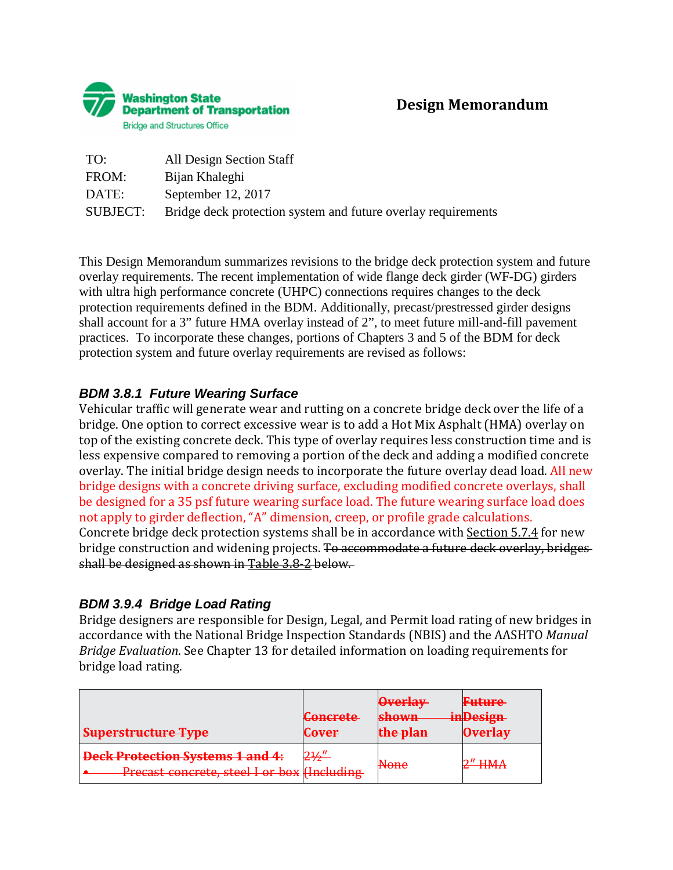

| TO:      | All Design Section Staff                                      |
|----------|---------------------------------------------------------------|
| FROM:    | Bijan Khaleghi                                                |
| DATE:    | September 12, 2017                                            |
| SUBJECT: | Bridge deck protection system and future overlay requirements |

This Design Memorandum summarizes revisions to the bridge deck protection system and future overlay requirements. The recent implementation of wide flange deck girder (WF-DG) girders with ultra high performance concrete (UHPC) connections requires changes to the deck protection requirements defined in the BDM. Additionally, precast/prestressed girder designs shall account for a 3" future HMA overlay instead of 2", to meet future mill-and-fill pavement practices. To incorporate these changes, portions of Chapters 3 and 5 of the BDM for deck protection system and future overlay requirements are revised as follows:

# *BDM 3.8.1 Future Wearing Surface*

Vehicular traffic will generate wear and rutting on a concrete bridge deck over the life of a bridge. One option to correct excessive wear is to add a Hot Mix Asphalt (HMA) overlay on top of the existing concrete deck. This type of overlay requires less construction time and is less expensive compared to removing a portion of the deck and adding a modified concrete overlay. The initial bridge design needs to incorporate the future overlay dead load. All new bridge designs with a concrete driving surface, excluding modified concrete overlays, shall be designed for a 35 psf future wearing surface load. The future wearing surface load does not apply to girder deflection, "A" dimension, creep, or profile grade calculations. Concrete bridge deck protection systems shall be in accordance with Section 5.7.4 for new bridge construction and widening projects. To accommodate a future deck overlay, bridges shall be designed as shown in Table 3.8-2 below.

# *BDM 3.9.4 Bridge Load Rating*

Bridge designers are responsible for Design, Legal, and Permit load rating of new bridges in accordance with the National Bridge Inspection Standards (NBIS) and the AASHTO *Manual Bridge Evaluation*. See Chapter 13 for detailed information on loading requirements for bridge load rating.

| <b>Superstructure Type</b>                                                             | <b>Concrete</b><br>Caver<br><del>GUV CI</del> | <b>Overlay</b><br><b>shown</b><br>the nlan<br><del>tilt pian</del> | <del>Future</del><br>inDesign<br><b>Overlay</b> |
|----------------------------------------------------------------------------------------|-----------------------------------------------|--------------------------------------------------------------------|-------------------------------------------------|
| <b>Deck Protection Systems 1 and 4:</b><br>Precast concrete, steel I or box (Including | $2\frac{1}{2}$                                | <b>None</b>                                                        | <b>-----</b>                                    |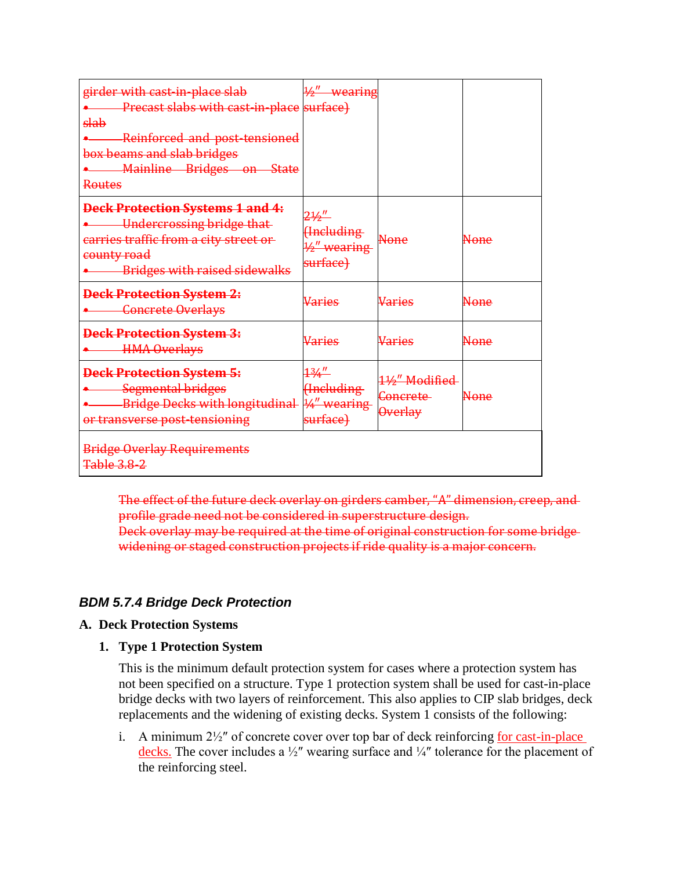| girder with cast-in-place slab<br>Precast slabs with cast-in-place surface)<br>slab<br>Reinforced and post-tensioned<br>box beams and slab bridges<br>Mainline Bridges on State<br><b>Routes</b> | $\frac{1}{2}$ wearing                                                   |                                                         |             |
|--------------------------------------------------------------------------------------------------------------------------------------------------------------------------------------------------|-------------------------------------------------------------------------|---------------------------------------------------------|-------------|
| <b>Deck Protection Systems 1 and 4:</b><br><b>Undercrossing bridge that</b><br>carries traffic from a city street or<br>county road<br><b>Bridges with raised sidewalks</b>                      | $2\frac{1}{2}$<br><b>Hncluding</b><br>$\frac{1}{2}$ wearing<br>surface) | <b>None</b>                                             | <b>None</b> |
| <b>Deck Protection System 2:</b><br><b>Concrete Overlays</b>                                                                                                                                     | Varies                                                                  | Varies                                                  | <b>None</b> |
| <b>Deck Protection System 3:</b><br><b>HMA Overlays</b>                                                                                                                                          | Varies                                                                  | Varies                                                  | None        |
| <b>Deck Protection System 5:</b><br><b>Segmental bridges</b><br>Bridge Decks with longitudinal 14" wearing<br>or transverse post-tensioning                                                      | <u> 134″ </u><br>Hneluding<br>surface)                                  | 11/2" Modified<br><del>Concrete</del><br><b>Overlay</b> | None        |
| <b>Bridge Overlay Requirements</b><br><b>Table 3.8-2</b>                                                                                                                                         |                                                                         |                                                         |             |

The effect of the future deck overlay on girders camber, "A" dimension, creep, and profile grade need not be considered in superstructure design. Deck overlay may be required at the time of original construction for some bridge widening or staged construction projects if ride quality is a major concern.

# *BDM 5.7.4 Bridge Deck Protection*

## **A. Deck Protection Systems**

**1. Type 1 Protection System**

This is the minimum default protection system for cases where a protection system has not been specified on a structure. Type 1 protection system shall be used for cast-in-place bridge decks with two layers of reinforcement. This also applies to CIP slab bridges, deck replacements and the widening of existing decks. System 1 consists of the following:

i. A minimum  $2\frac{1}{2}$  of concrete cover over top bar of deck reinforcing for cast-in-place decks. The cover includes a ½″ wearing surface and ¼″ tolerance for the placement of the reinforcing steel.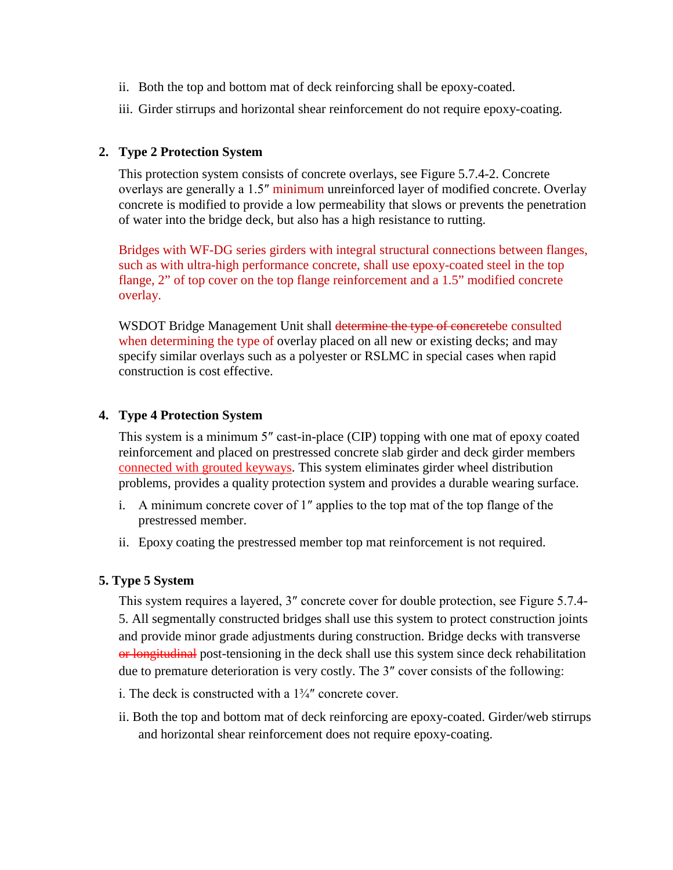- ii. Both the top and bottom mat of deck reinforcing shall be epoxy-coated.
- iii. Girder stirrups and horizontal shear reinforcement do not require epoxy-coating.

### **2. Type 2 Protection System**

This protection system consists of concrete overlays, see Figure 5.7.4-2. Concrete overlays are generally a 1.5″ minimum unreinforced layer of modified concrete. Overlay concrete is modified to provide a low permeability that slows or prevents the penetration of water into the bridge deck, but also has a high resistance to rutting.

Bridges with WF-DG series girders with integral structural connections between flanges, such as with ultra-high performance concrete, shall use epoxy-coated steel in the top flange, 2" of top cover on the top flange reinforcement and a 1.5" modified concrete overlay.

WSDOT Bridge Management Unit shall determine the type of concretebe consulted when determining the type of overlay placed on all new or existing decks; and may specify similar overlays such as a polyester or RSLMC in special cases when rapid construction is cost effective.

### **4. Type 4 Protection System**

This system is a minimum 5″ cast-in-place (CIP) topping with one mat of epoxy coated reinforcement and placed on prestressed concrete slab girder and deck girder members connected with grouted keyways. This system eliminates girder wheel distribution problems, provides a quality protection system and provides a durable wearing surface.

- i. A minimum concrete cover of 1″ applies to the top mat of the top flange of the prestressed member.
- ii. Epoxy coating the prestressed member top mat reinforcement is not required.

### **5. Type 5 System**

This system requires a layered, 3″ concrete cover for double protection, see Figure 5.7.4- 5. All segmentally constructed bridges shall use this system to protect construction joints and provide minor grade adjustments during construction. Bridge decks with transverse or longitudinal post-tensioning in the deck shall use this system since deck rehabilitation due to premature deterioration is very costly. The 3″ cover consists of the following:

- i. The deck is constructed with a  $1\frac{3}{4}$  concrete cover.
- ii. Both the top and bottom mat of deck reinforcing are epoxy-coated. Girder/web stirrups and horizontal shear reinforcement does not require epoxy-coating.